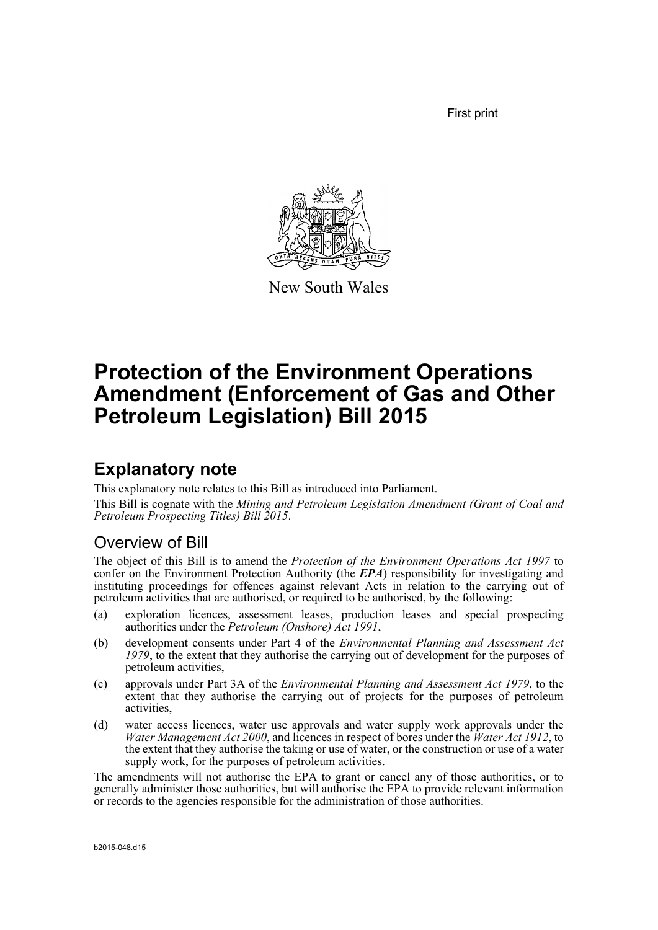First print



New South Wales

# **Protection of the Environment Operations Amendment (Enforcement of Gas and Other Petroleum Legislation) Bill 2015**

## **Explanatory note**

This explanatory note relates to this Bill as introduced into Parliament.

This Bill is cognate with the *Mining and Petroleum Legislation Amendment (Grant of Coal and Petroleum Prospecting Titles) Bill 2015*.

### Overview of Bill

The object of this Bill is to amend the *Protection of the Environment Operations Act 1997* to confer on the Environment Protection Authority (the **EPA**) responsibility for investigating and instituting proceedings for offences against relevant Acts in relation to the carrying out of petroleum activities that are authorised, or required to be authorised, by the following:

- (a) exploration licences, assessment leases, production leases and special prospecting authorities under the *Petroleum (Onshore) Act 1991*,
- (b) development consents under Part 4 of the *Environmental Planning and Assessment Act 1979*, to the extent that they authorise the carrying out of development for the purposes of petroleum activities,
- (c) approvals under Part 3A of the *Environmental Planning and Assessment Act 1979*, to the extent that they authorise the carrying out of projects for the purposes of petroleum activities,
- (d) water access licences, water use approvals and water supply work approvals under the *Water Management Act 2000*, and licences in respect of bores under the *Water Act 1912*, to the extent that they authorise the taking or use of water, or the construction or use of a water supply work, for the purposes of petroleum activities.

The amendments will not authorise the EPA to grant or cancel any of those authorities, or to generally administer those authorities, but will authorise the EPA to provide relevant information or records to the agencies responsible for the administration of those authorities.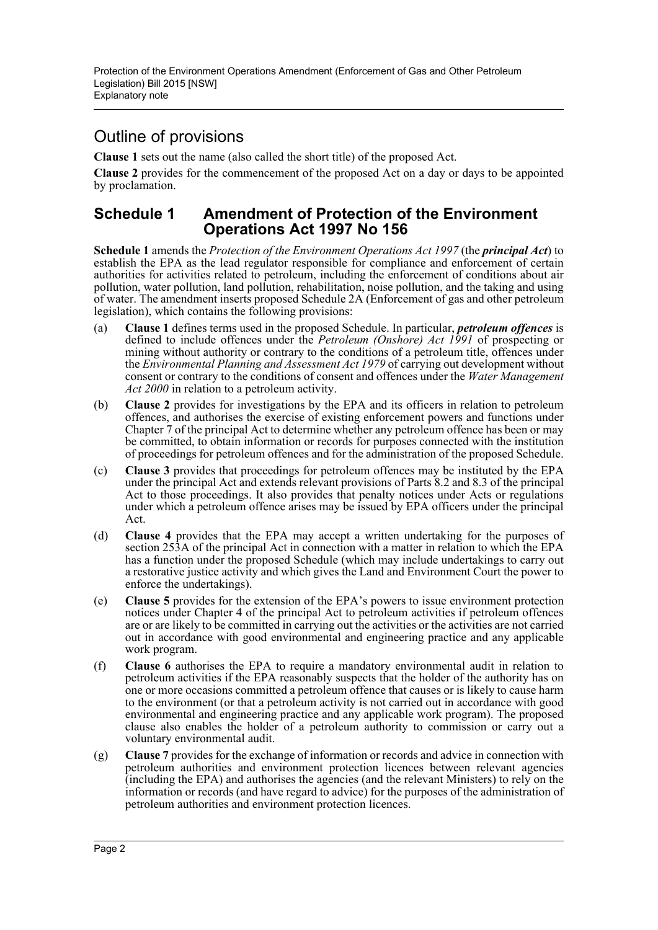### Outline of provisions

**Clause 1** sets out the name (also called the short title) of the proposed Act.

**Clause 2** provides for the commencement of the proposed Act on a day or days to be appointed by proclamation.

#### **Schedule 1 Amendment of Protection of the Environment Operations Act 1997 No 156**

**Schedule 1** amends the *Protection of the Environment Operations Act 1997* (the *principal Act*) to establish the EPA as the lead regulator responsible for compliance and enforcement of certain authorities for activities related to petroleum, including the enforcement of conditions about air pollution, water pollution, land pollution, rehabilitation, noise pollution, and the taking and using of water. The amendment inserts proposed Schedule 2A (Enforcement of gas and other petroleum legislation), which contains the following provisions:

- (a) **Clause 1** defines terms used in the proposed Schedule. In particular, *petroleum offences* is defined to include offences under the *Petroleum (Onshore) Act 1991* of prospecting or mining without authority or contrary to the conditions of a petroleum title, offences under the *Environmental Planning and Assessment Act 1979* of carrying out development without consent or contrary to the conditions of consent and offences under the *Water Management Act 2000* in relation to a petroleum activity.
- (b) **Clause 2** provides for investigations by the EPA and its officers in relation to petroleum offences, and authorises the exercise of existing enforcement powers and functions under Chapter 7 of the principal Act to determine whether any petroleum offence has been or may be committed, to obtain information or records for purposes connected with the institution of proceedings for petroleum offences and for the administration of the proposed Schedule.
- (c) **Clause 3** provides that proceedings for petroleum offences may be instituted by the EPA under the principal Act and extends relevant provisions of Parts 8.2 and 8.3 of the principal Act to those proceedings. It also provides that penalty notices under Acts or regulations under which a petroleum offence arises may be issued by EPA officers under the principal Act.
- (d) **Clause 4** provides that the EPA may accept a written undertaking for the purposes of section 253A of the principal Act in connection with a matter in relation to which the EPA has a function under the proposed Schedule (which may include undertakings to carry out a restorative justice activity and which gives the Land and Environment Court the power to enforce the undertakings).
- (e) **Clause 5** provides for the extension of the EPA's powers to issue environment protection notices under Chapter 4 of the principal Act to petroleum activities if petroleum offences are or are likely to be committed in carrying out the activities or the activities are not carried out in accordance with good environmental and engineering practice and any applicable work program.
- (f) **Clause 6** authorises the EPA to require a mandatory environmental audit in relation to petroleum activities if the EPA reasonably suspects that the holder of the authority has on one or more occasions committed a petroleum offence that causes or is likely to cause harm to the environment (or that a petroleum activity is not carried out in accordance with good environmental and engineering practice and any applicable work program). The proposed clause also enables the holder of a petroleum authority to commission or carry out a voluntary environmental audit.
- (g) **Clause 7** provides for the exchange of information or records and advice in connection with petroleum authorities and environment protection licences between relevant agencies (including the EPA) and authorises the agencies (and the relevant Ministers) to rely on the information or records (and have regard to advice) for the purposes of the administration of petroleum authorities and environment protection licences.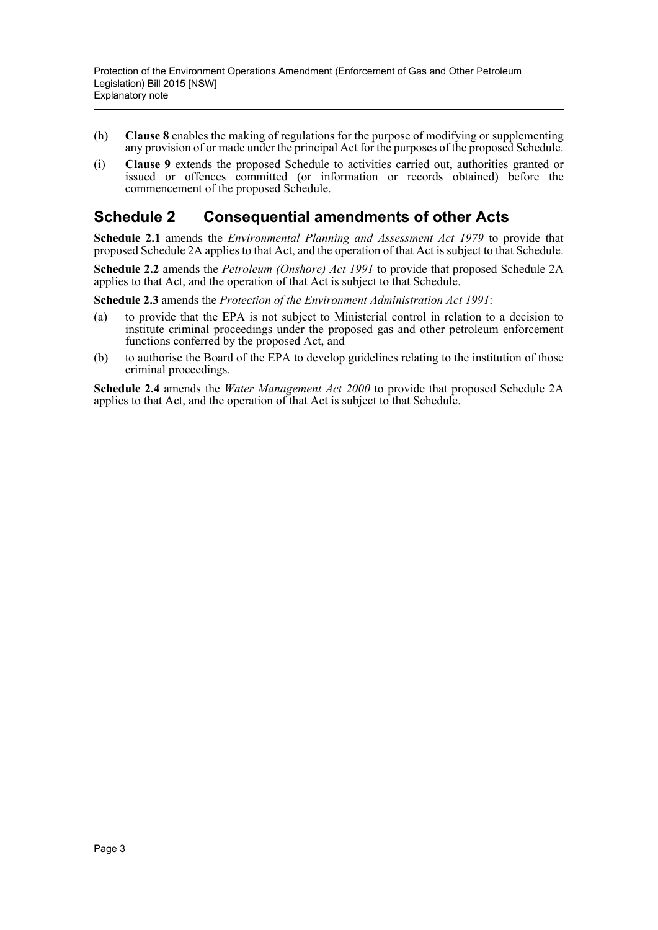- (h) **Clause 8** enables the making of regulations for the purpose of modifying or supplementing any provision of or made under the principal Act for the purposes of the proposed Schedule.
- (i) **Clause 9** extends the proposed Schedule to activities carried out, authorities granted or issued or offences committed (or information or records obtained) before the commencement of the proposed Schedule.

### **Schedule 2 Consequential amendments of other Acts**

**Schedule 2.1** amends the *Environmental Planning and Assessment Act 1979* to provide that proposed Schedule 2A applies to that Act, and the operation of that Act is subject to that Schedule.

**Schedule 2.2** amends the *Petroleum (Onshore) Act 1991* to provide that proposed Schedule 2A applies to that Act, and the operation of that Act is subject to that Schedule.

**Schedule 2.3** amends the *Protection of the Environment Administration Act 1991*:

- (a) to provide that the EPA is not subject to Ministerial control in relation to a decision to institute criminal proceedings under the proposed gas and other petroleum enforcement functions conferred by the proposed Act, and
- (b) to authorise the Board of the EPA to develop guidelines relating to the institution of those criminal proceedings.

**Schedule 2.4** amends the *Water Management Act 2000* to provide that proposed Schedule 2A applies to that Act, and the operation of that Act is subject to that Schedule.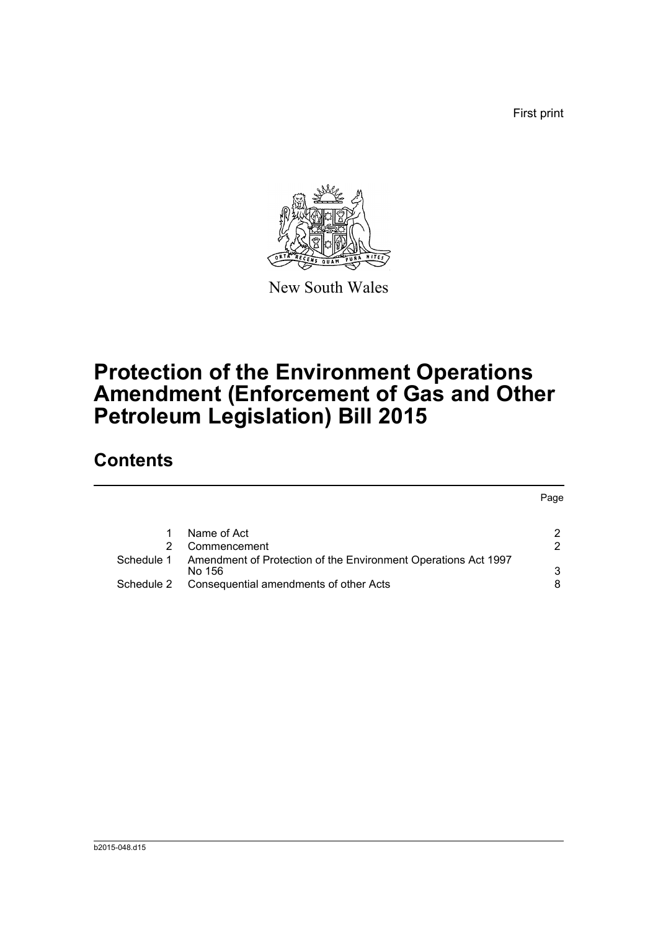First print



New South Wales

# **Protection of the Environment Operations Amendment (Enforcement of Gas and Other Petroleum Legislation) Bill 2015**

## **Contents**

|            |                                                                          | Page          |
|------------|--------------------------------------------------------------------------|---------------|
|            | Name of Act                                                              | $\mathcal{P}$ |
|            | Commencement                                                             | 2             |
| Schedule 1 | Amendment of Protection of the Environment Operations Act 1997<br>No 156 | 3             |
| Schedule 2 | Consequential amendments of other Acts                                   | 8             |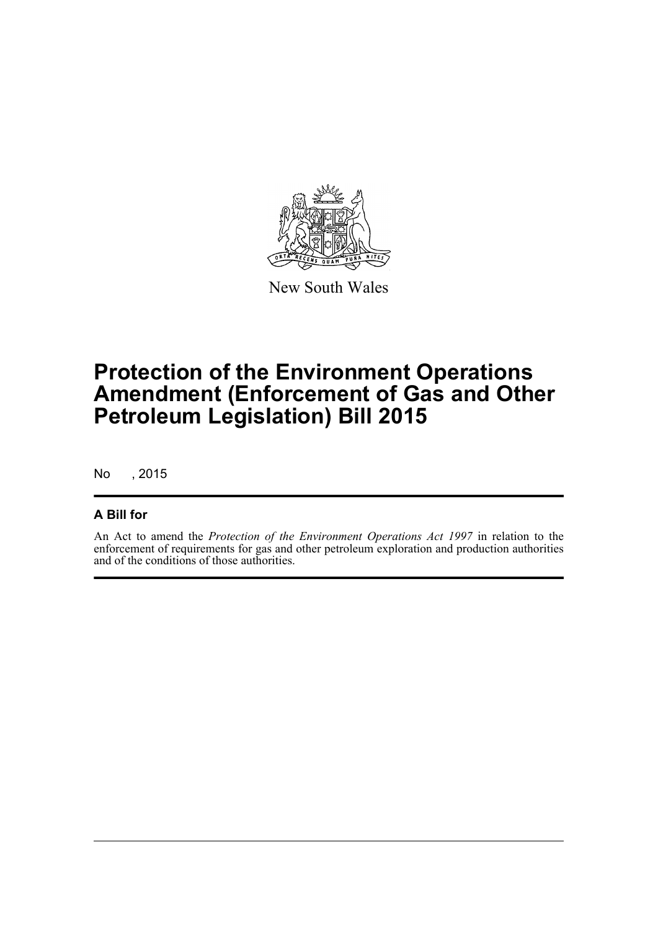

New South Wales

## **Protection of the Environment Operations Amendment (Enforcement of Gas and Other Petroleum Legislation) Bill 2015**

No , 2015

#### **A Bill for**

An Act to amend the *Protection of the Environment Operations Act 1997* in relation to the enforcement of requirements for gas and other petroleum exploration and production authorities and of the conditions of those authorities.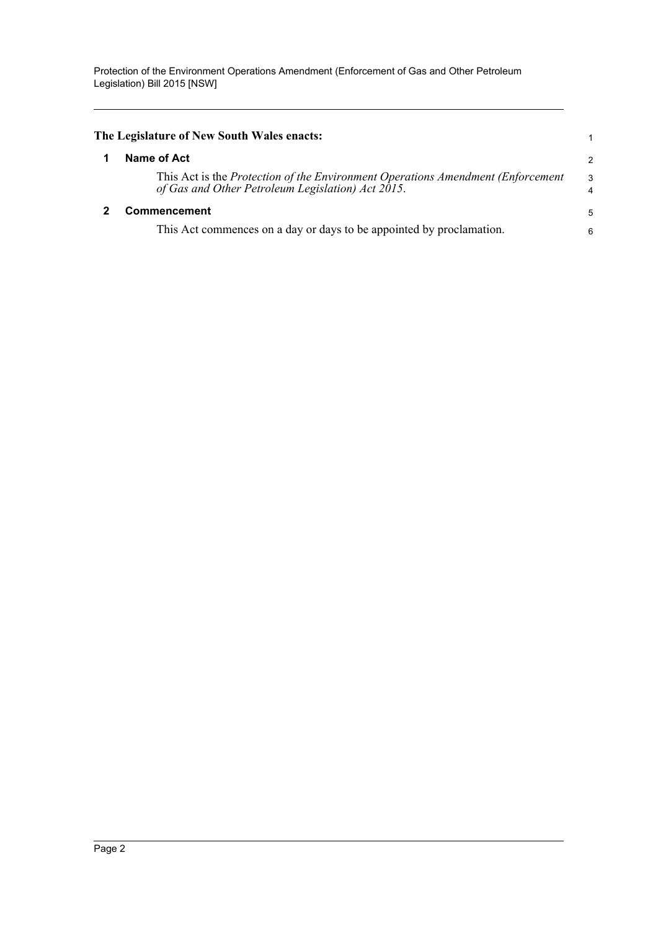<span id="page-5-1"></span><span id="page-5-0"></span>

| The Legislature of New South Wales enacts:                                                                                                    | 1                            |
|-----------------------------------------------------------------------------------------------------------------------------------------------|------------------------------|
| Name of Act                                                                                                                                   | $\mathcal{P}$                |
| This Act is the <i>Protection of the Environment Operations Amendment (Enforcement</i> )<br>of Gas and Other Petroleum Legislation) Act 2015. | 3<br>$\overline{\mathbf{4}}$ |
| Commencement                                                                                                                                  | 5                            |
| This Act commences on a day or days to be appointed by proclamation.                                                                          | 6                            |
|                                                                                                                                               |                              |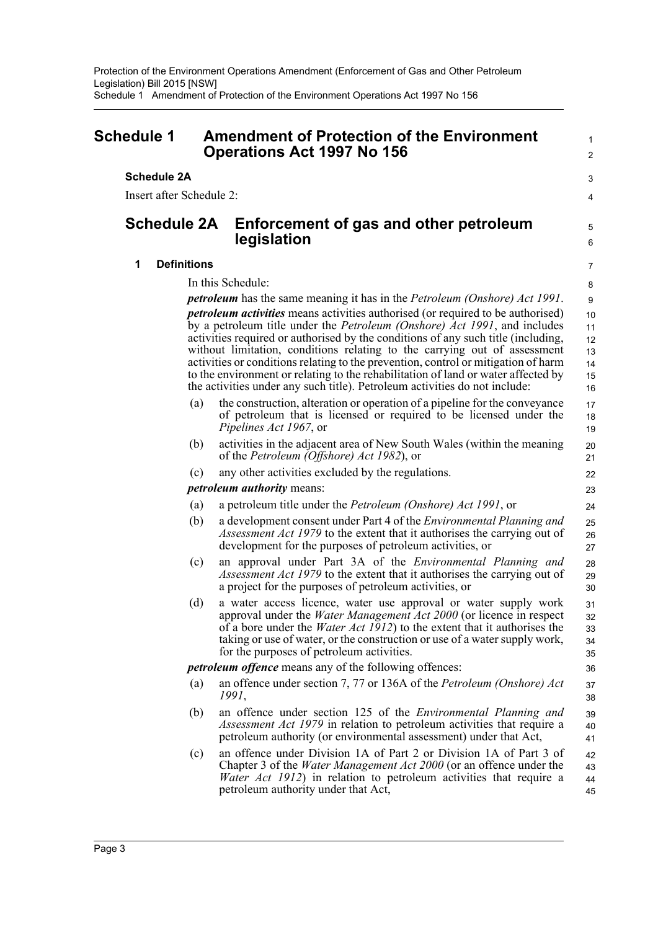<span id="page-6-0"></span>

| <b>Schedule 1</b>        |     | <b>Amendment of Protection of the Environment</b><br><b>Operations Act 1997 No 156</b>                                                                                                                                                                                                                                                                                                                                                                                                                                                                                                                 | $\mathbf{1}$<br>$\overline{2}$         |
|--------------------------|-----|--------------------------------------------------------------------------------------------------------------------------------------------------------------------------------------------------------------------------------------------------------------------------------------------------------------------------------------------------------------------------------------------------------------------------------------------------------------------------------------------------------------------------------------------------------------------------------------------------------|----------------------------------------|
| <b>Schedule 2A</b>       |     |                                                                                                                                                                                                                                                                                                                                                                                                                                                                                                                                                                                                        | 3                                      |
| Insert after Schedule 2: |     |                                                                                                                                                                                                                                                                                                                                                                                                                                                                                                                                                                                                        |                                        |
|                          |     |                                                                                                                                                                                                                                                                                                                                                                                                                                                                                                                                                                                                        | 4                                      |
| <b>Schedule 2A</b>       |     | Enforcement of gas and other petroleum<br>legislation                                                                                                                                                                                                                                                                                                                                                                                                                                                                                                                                                  | $\mathbf 5$<br>6                       |
| <b>Definitions</b><br>1  |     |                                                                                                                                                                                                                                                                                                                                                                                                                                                                                                                                                                                                        | 7                                      |
|                          |     | In this Schedule:                                                                                                                                                                                                                                                                                                                                                                                                                                                                                                                                                                                      | 8                                      |
|                          |     | <i>petroleum</i> has the same meaning it has in the <i>Petroleum (Onshore) Act 1991</i> .                                                                                                                                                                                                                                                                                                                                                                                                                                                                                                              | 9                                      |
|                          |     | <i>petroleum activities</i> means activities authorised (or required to be authorised)<br>by a petroleum title under the <i>Petroleum (Onshore) Act 1991</i> , and includes<br>activities required or authorised by the conditions of any such title (including,<br>without limitation, conditions relating to the carrying out of assessment<br>activities or conditions relating to the prevention, control or mitigation of harm<br>to the environment or relating to the rehabilitation of land or water affected by<br>the activities under any such title). Petroleum activities do not include: | 10<br>11<br>12<br>13<br>14<br>15<br>16 |
|                          | (a) | the construction, alteration or operation of a pipeline for the conveyance<br>of petroleum that is licensed or required to be licensed under the<br><i>Pipelines Act 1967</i> , or                                                                                                                                                                                                                                                                                                                                                                                                                     | 17<br>18<br>19                         |
|                          | (b) | activities in the adjacent area of New South Wales (within the meaning<br>of the Petroleum (Offshore) Act 1982), or                                                                                                                                                                                                                                                                                                                                                                                                                                                                                    | 20<br>21                               |
|                          | (c) | any other activities excluded by the regulations.                                                                                                                                                                                                                                                                                                                                                                                                                                                                                                                                                      | 22                                     |
|                          |     | <i>petroleum authority means:</i>                                                                                                                                                                                                                                                                                                                                                                                                                                                                                                                                                                      | 23                                     |
|                          | (a) | a petroleum title under the <i>Petroleum (Onshore) Act 1991</i> , or                                                                                                                                                                                                                                                                                                                                                                                                                                                                                                                                   | 24                                     |
|                          | (b) | a development consent under Part 4 of the <i>Environmental Planning and</i><br><i>Assessment Act 1979</i> to the extent that it authorises the carrying out of<br>development for the purposes of petroleum activities, or                                                                                                                                                                                                                                                                                                                                                                             | 25<br>26<br>27                         |
|                          | (c) | an approval under Part 3A of the <i>Environmental Planning and</i><br><i>Assessment Act 1979</i> to the extent that it authorises the carrying out of<br>a project for the purposes of petroleum activities, or                                                                                                                                                                                                                                                                                                                                                                                        | 28<br>29<br>30                         |
|                          | (d) | a water access licence, water use approval or water supply work<br>approval under the Water Management Act 2000 (or licence in respect<br>of a bore under the <i>Water Act 1912</i> ) to the extent that it authorises the<br>taking or use of water, or the construction or use of a water supply work,<br>for the purposes of petroleum activities.                                                                                                                                                                                                                                                  | 31<br>32<br>33<br>34<br>35             |
|                          |     | <i>petroleum offence</i> means any of the following offences:                                                                                                                                                                                                                                                                                                                                                                                                                                                                                                                                          | 36                                     |
|                          | (a) | an offence under section 7, 77 or 136A of the <i>Petroleum (Onshore) Act</i><br><i>1991</i> ,                                                                                                                                                                                                                                                                                                                                                                                                                                                                                                          | 37<br>38                               |
|                          | (b) | an offence under section 125 of the <i>Environmental Planning and</i><br>Assessment Act 1979 in relation to petroleum activities that require a<br>petroleum authority (or environmental assessment) under that Act,                                                                                                                                                                                                                                                                                                                                                                                   | 39<br>40<br>41                         |
|                          | (c) | an offence under Division 1A of Part 2 or Division 1A of Part 3 of<br>Chapter 3 of the <i>Water Management Act 2000</i> (or an offence under the<br><i>Water Act 1912</i> ) in relation to petroleum activities that require a<br>petroleum authority under that Act,                                                                                                                                                                                                                                                                                                                                  | 42<br>43<br>44<br>45                   |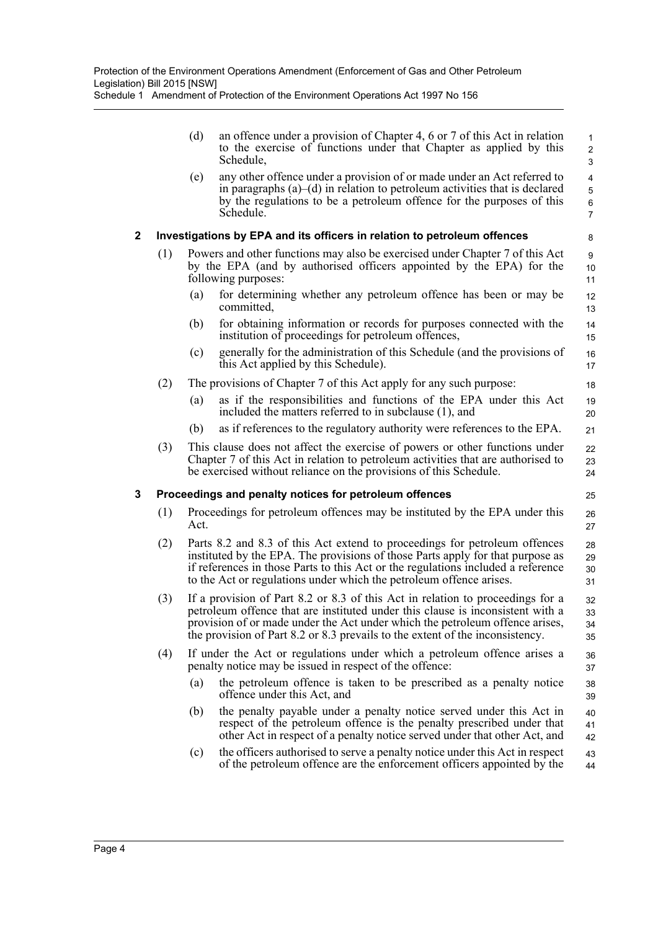Schedule 1 Amendment of Protection of the Environment Operations Act 1997 No 156

|              |     | (d)                                                                                                                                                                                                                                                                                                                               | an offence under a provision of Chapter 4, 6 or 7 of this Act in relation<br>to the exercise of functions under that Chapter as applied by this<br>Schedule,                                                                                      | 1<br>$\overline{2}$<br>3      |  |  |  |
|--------------|-----|-----------------------------------------------------------------------------------------------------------------------------------------------------------------------------------------------------------------------------------------------------------------------------------------------------------------------------------|---------------------------------------------------------------------------------------------------------------------------------------------------------------------------------------------------------------------------------------------------|-------------------------------|--|--|--|
|              |     | (e)                                                                                                                                                                                                                                                                                                                               | any other offence under a provision of or made under an Act referred to<br>in paragraphs $(a)$ – $(d)$ in relation to petroleum activities that is declared<br>by the regulations to be a petroleum offence for the purposes of this<br>Schedule. | 4<br>5<br>6<br>$\overline{7}$ |  |  |  |
| $\mathbf{2}$ |     |                                                                                                                                                                                                                                                                                                                                   | Investigations by EPA and its officers in relation to petroleum offences                                                                                                                                                                          | 8                             |  |  |  |
|              | (1) | Powers and other functions may also be exercised under Chapter 7 of this Act<br>by the EPA (and by authorised officers appointed by the EPA) for the<br>following purposes:                                                                                                                                                       |                                                                                                                                                                                                                                                   |                               |  |  |  |
|              |     | (a)                                                                                                                                                                                                                                                                                                                               | for determining whether any petroleum offence has been or may be<br>committed,                                                                                                                                                                    | 12<br>13                      |  |  |  |
|              |     | (b)                                                                                                                                                                                                                                                                                                                               | for obtaining information or records for purposes connected with the<br>institution of proceedings for petroleum offences,                                                                                                                        | 14<br>15                      |  |  |  |
|              |     | (c)                                                                                                                                                                                                                                                                                                                               | generally for the administration of this Schedule (and the provisions of<br>this Act applied by this Schedule).                                                                                                                                   | 16<br>17                      |  |  |  |
|              | (2) |                                                                                                                                                                                                                                                                                                                                   | The provisions of Chapter 7 of this Act apply for any such purpose:                                                                                                                                                                               | 18                            |  |  |  |
|              |     | (a)                                                                                                                                                                                                                                                                                                                               | as if the responsibilities and functions of the EPA under this Act<br>included the matters referred to in subclause (1), and                                                                                                                      | 19<br>20                      |  |  |  |
|              |     | (b)                                                                                                                                                                                                                                                                                                                               | as if references to the regulatory authority were references to the EPA.                                                                                                                                                                          | 21                            |  |  |  |
|              | (3) |                                                                                                                                                                                                                                                                                                                                   | This clause does not affect the exercise of powers or other functions under<br>Chapter 7 of this Act in relation to petroleum activities that are authorised to<br>be exercised without reliance on the provisions of this Schedule.              | 22<br>23<br>24                |  |  |  |
| 3            |     |                                                                                                                                                                                                                                                                                                                                   | Proceedings and penalty notices for petroleum offences                                                                                                                                                                                            | 25                            |  |  |  |
|              | (1) | Proceedings for petroleum offences may be instituted by the EPA under this<br>26<br>Act.<br>27                                                                                                                                                                                                                                    |                                                                                                                                                                                                                                                   |                               |  |  |  |
|              | (2) | Parts 8.2 and 8.3 of this Act extend to proceedings for petroleum offences<br>instituted by the EPA. The provisions of those Parts apply for that purpose as<br>if references in those Parts to this Act or the regulations included a reference<br>to the Act or regulations under which the petroleum offence arises.           |                                                                                                                                                                                                                                                   |                               |  |  |  |
|              | (3) | If a provision of Part 8.2 or 8.3 of this Act in relation to proceedings for a<br>petroleum offence that are instituted under this clause is inconsistent with a<br>provision of or made under the Act under which the petroleum offence arises,<br>the provision of Part 8.2 or 8.3 prevails to the extent of the inconsistency. |                                                                                                                                                                                                                                                   |                               |  |  |  |
|              | (4) |                                                                                                                                                                                                                                                                                                                                   | If under the Act or regulations under which a petroleum offence arises a<br>penalty notice may be issued in respect of the offence:                                                                                                               | 36<br>37                      |  |  |  |
|              |     | (a)                                                                                                                                                                                                                                                                                                                               | the petroleum offence is taken to be prescribed as a penalty notice<br>offence under this Act, and                                                                                                                                                | 38<br>39                      |  |  |  |
|              |     | (b)                                                                                                                                                                                                                                                                                                                               | the penalty payable under a penalty notice served under this Act in<br>respect of the petroleum offence is the penalty prescribed under that<br>other Act in respect of a penalty notice served under that other Act, and                         | 40<br>41<br>42                |  |  |  |
|              |     | (c)                                                                                                                                                                                                                                                                                                                               | the officers authorised to serve a penalty notice under this Act in respect<br>of the petroleum offence are the enforcement officers appointed by the                                                                                             | 43<br>44                      |  |  |  |
|              |     |                                                                                                                                                                                                                                                                                                                                   |                                                                                                                                                                                                                                                   |                               |  |  |  |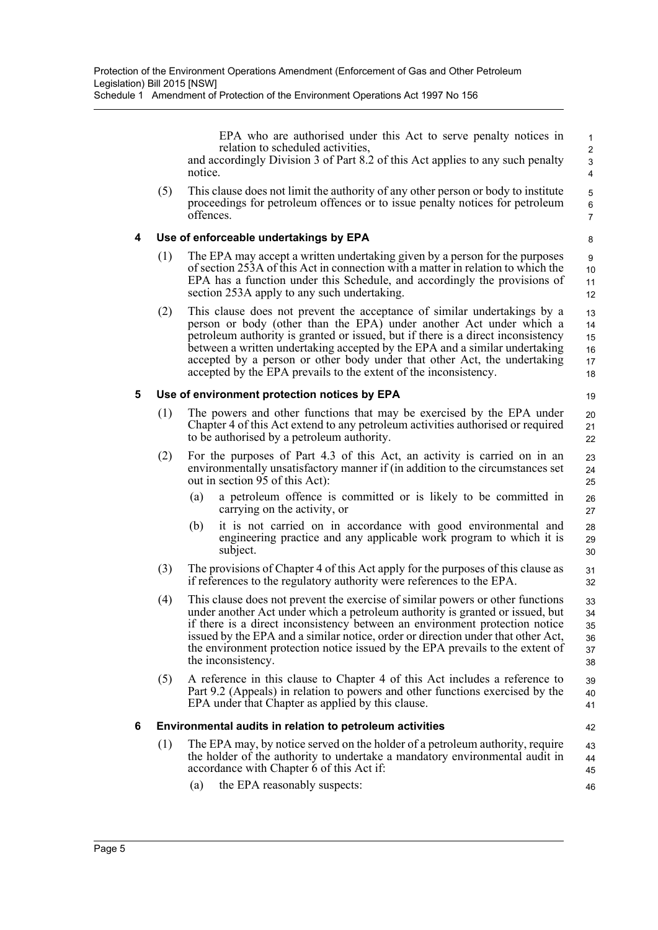Schedule 1 Amendment of Protection of the Environment Operations Act 1997 No 156

EPA who are authorised under this Act to serve penalty notices in relation to scheduled activities, and accordingly Division 3 of Part 8.2 of this Act applies to any such penalty notice.

19

42

(5) This clause does not limit the authority of any other person or body to institute proceedings for petroleum offences or to issue penalty notices for petroleum offences.

#### **4 Use of enforceable undertakings by EPA**

- (1) The EPA may accept a written undertaking given by a person for the purposes of section 253A of this Act in connection with a matter in relation to which the EPA has a function under this Schedule, and accordingly the provisions of section 253A apply to any such undertaking.
- (2) This clause does not prevent the acceptance of similar undertakings by a person or body (other than the EPA) under another Act under which a petroleum authority is granted or issued, but if there is a direct inconsistency between a written undertaking accepted by the EPA and a similar undertaking accepted by a person or other body under that other Act, the undertaking accepted by the EPA prevails to the extent of the inconsistency. 13 14 15 16 17 18

#### **5 Use of environment protection notices by EPA**

- (1) The powers and other functions that may be exercised by the EPA under Chapter 4 of this Act extend to any petroleum activities authorised or required to be authorised by a petroleum authority. 20 21 22
- (2) For the purposes of Part 4.3 of this Act, an activity is carried on in an environmentally unsatisfactory manner if (in addition to the circumstances set out in section 95 of this Act): 23 24 25
	- (a) a petroleum offence is committed or is likely to be committed in carrying on the activity, or
	- (b) it is not carried on in accordance with good environmental and engineering practice and any applicable work program to which it is subject.
- (3) The provisions of Chapter 4 of this Act apply for the purposes of this clause as if references to the regulatory authority were references to the EPA. 31 32
- (4) This clause does not prevent the exercise of similar powers or other functions under another Act under which a petroleum authority is granted or issued, but if there is a direct inconsistency between an environment protection notice issued by the EPA and a similar notice, order or direction under that other Act, the environment protection notice issued by the EPA prevails to the extent of the inconsistency. 33 34 35 36 37 38
- (5) A reference in this clause to Chapter 4 of this Act includes a reference to Part 9.2 (Appeals) in relation to powers and other functions exercised by the EPA under that Chapter as applied by this clause. 39 40 41

#### **6 Environmental audits in relation to petroleum activities**

- (1) The EPA may, by notice served on the holder of a petroleum authority, require the holder of the authority to undertake a mandatory environmental audit in accordance with Chapter 6 of this Act if: 43 44 45
	- (a) the EPA reasonably suspects: 46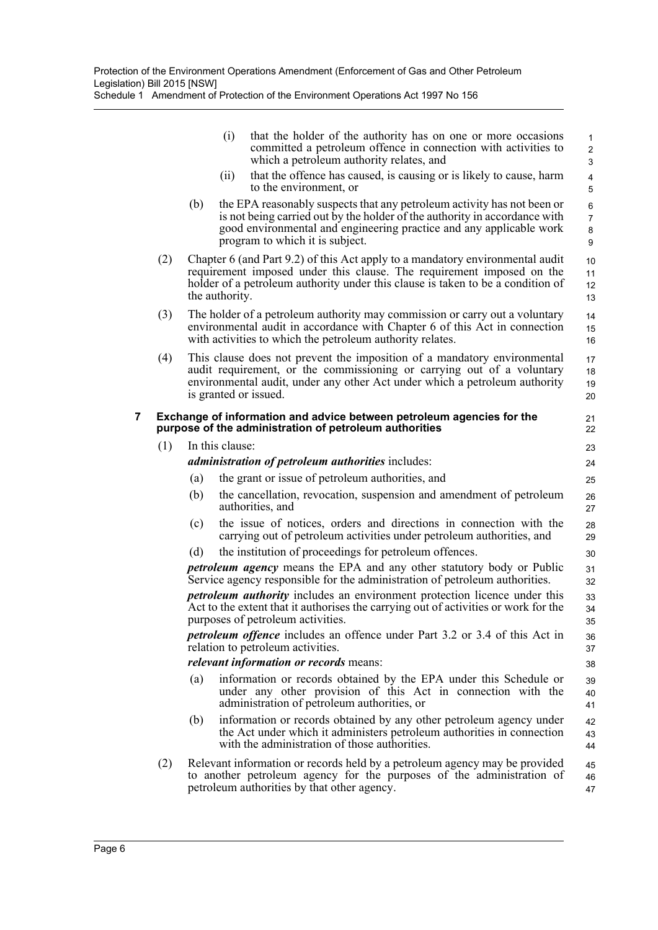Schedule 1 Amendment of Protection of the Environment Operations Act 1997 No 156

|   |     |     | (i)             | that the holder of the authority has on one or more occasions<br>committed a petroleum offence in connection with activities to<br>which a petroleum authority relates, and                                                                                     | $\mathbf{1}$<br>$\mathbf{2}$<br>3 |
|---|-----|-----|-----------------|-----------------------------------------------------------------------------------------------------------------------------------------------------------------------------------------------------------------------------------------------------------------|-----------------------------------|
|   |     |     | (ii)            | that the offence has caused, is causing or is likely to cause, harm<br>to the environment, or                                                                                                                                                                   | 4<br>5                            |
|   |     | (b) |                 | the EPA reasonably suspects that any petroleum activity has not been or<br>is not being carried out by the holder of the authority in accordance with<br>good environmental and engineering practice and any applicable work<br>program to which it is subject. | 6<br>$\overline{7}$<br>8<br>9     |
|   | (2) |     | the authority.  | Chapter 6 (and Part 9.2) of this Act apply to a mandatory environmental audit<br>requirement imposed under this clause. The requirement imposed on the<br>holder of a petroleum authority under this clause is taken to be a condition of                       | 10<br>11<br>12 <sup>°</sup><br>13 |
|   | (3) |     |                 | The holder of a petroleum authority may commission or carry out a voluntary<br>environmental audit in accordance with Chapter 6 of this Act in connection<br>with activities to which the petroleum authority relates.                                          | 14<br>15<br>16                    |
|   | (4) |     |                 | This clause does not prevent the imposition of a mandatory environmental<br>audit requirement, or the commissioning or carrying out of a voluntary<br>environmental audit, under any other Act under which a petroleum authority<br>is granted or issued.       | 17<br>18<br>19<br>20              |
| 7 |     |     |                 | Exchange of information and advice between petroleum agencies for the<br>purpose of the administration of petroleum authorities                                                                                                                                 | 21<br>22                          |
|   | (1) |     | In this clause: |                                                                                                                                                                                                                                                                 | 23                                |
|   |     |     |                 | <i>administration of petroleum authorities includes:</i>                                                                                                                                                                                                        | 24                                |
|   |     | (a) |                 | the grant or issue of petroleum authorities, and                                                                                                                                                                                                                | 25                                |
|   |     | (b) |                 | the cancellation, revocation, suspension and amendment of petroleum<br>authorities, and                                                                                                                                                                         | 26<br>27                          |
|   |     | (c) |                 | the issue of notices, orders and directions in connection with the<br>carrying out of petroleum activities under petroleum authorities, and                                                                                                                     | 28<br>29                          |
|   |     | (d) |                 | the institution of proceedings for petroleum offences.                                                                                                                                                                                                          | 30                                |
|   |     |     |                 | petroleum agency means the EPA and any other statutory body or Public<br>Service agency responsible for the administration of petroleum authorities.                                                                                                            | 31<br>32                          |
|   |     |     |                 | <i>petroleum authority</i> includes an environment protection licence under this<br>Act to the extent that it authorises the carrying out of activities or work for the<br>purposes of petroleum activities.                                                    | 33<br>34<br>35                    |
|   |     |     |                 | <i>petroleum offence</i> includes an offence under Part 3.2 or 3.4 of this Act in<br>relation to petroleum activities.                                                                                                                                          | 36<br>37                          |
|   |     |     |                 | <i>relevant information or records means:</i>                                                                                                                                                                                                                   | 38                                |
|   |     | (a) |                 | information or records obtained by the EPA under this Schedule or<br>under any other provision of this Act in connection with the<br>administration of petroleum authorities, or                                                                                | 39<br>40<br>41                    |
|   |     | (b) |                 | information or records obtained by any other petroleum agency under<br>the Act under which it administers petroleum authorities in connection<br>with the administration of those authorities.                                                                  | 42<br>43<br>44                    |
|   | (2) |     |                 | Relevant information or records held by a petroleum agency may be provided                                                                                                                                                                                      | 45                                |
|   |     |     |                 | to another petroleum agency for the purposes of the administration of<br>petroleum authorities by that other agency.                                                                                                                                            | 46<br>47                          |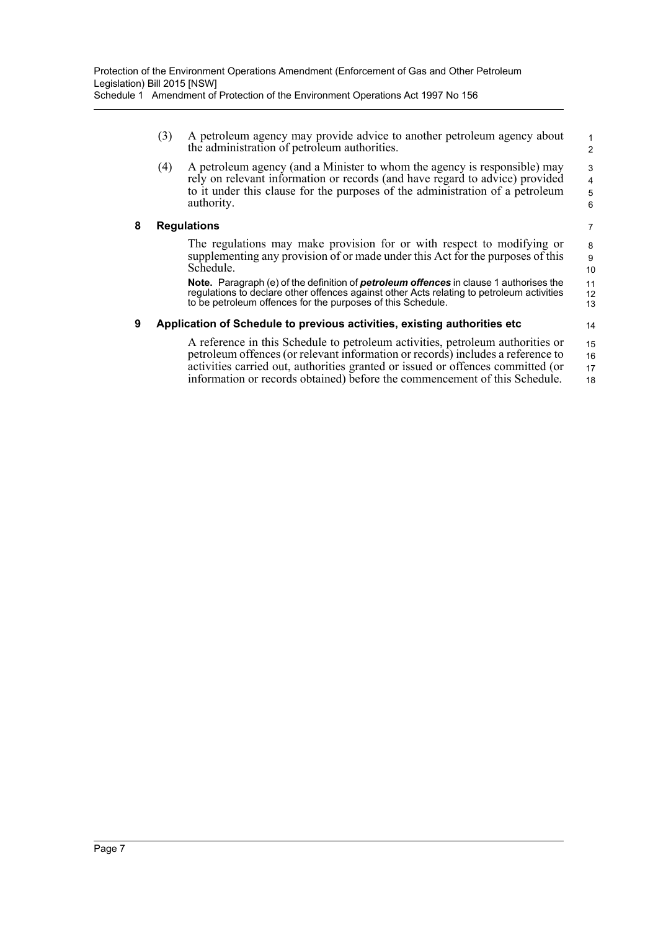|                         | (3)                                                                      | A petroleum agency may provide advice to another petroleum agency about<br>the administration of petroleum authorities.                                                                                                                                          | $\mathbf{1}$<br>$\overline{2}$ |  |  |
|-------------------------|--------------------------------------------------------------------------|------------------------------------------------------------------------------------------------------------------------------------------------------------------------------------------------------------------------------------------------------------------|--------------------------------|--|--|
|                         | (4)                                                                      | A petroleum agency (and a Minister to whom the agency is responsible) may<br>rely on relevant information or records (and have regard to advice) provided<br>to it under this clause for the purposes of the administration of a petroleum<br>authority.         | 3<br>$\overline{4}$<br>5<br>6  |  |  |
| 8<br><b>Regulations</b> |                                                                          |                                                                                                                                                                                                                                                                  | 7                              |  |  |
|                         |                                                                          | The regulations may make provision for or with respect to modifying or<br>supplementing any provision of or made under this Act for the purposes of this<br>Schedule.                                                                                            | 8<br>9<br>10                   |  |  |
|                         |                                                                          | <b>Note.</b> Paragraph (e) of the definition of <b>petroleum offences</b> in clause 1 authorises the<br>regulations to declare other offences against other Acts relating to petroleum activities<br>to be petroleum offences for the purposes of this Schedule. | 11<br>12<br>13                 |  |  |
| 9                       | Application of Schedule to previous activities, existing authorities etc |                                                                                                                                                                                                                                                                  |                                |  |  |
|                         |                                                                          | A reference in this Schedule to petroleum activities, petroleum authorities or<br>petroleum offences (or relevant information or records) includes a reference to<br>activities carried out, authorities granted or issued or offences committed (or             | 15<br>16<br>17                 |  |  |

information or records obtained) before the commencement of this Schedule.

18